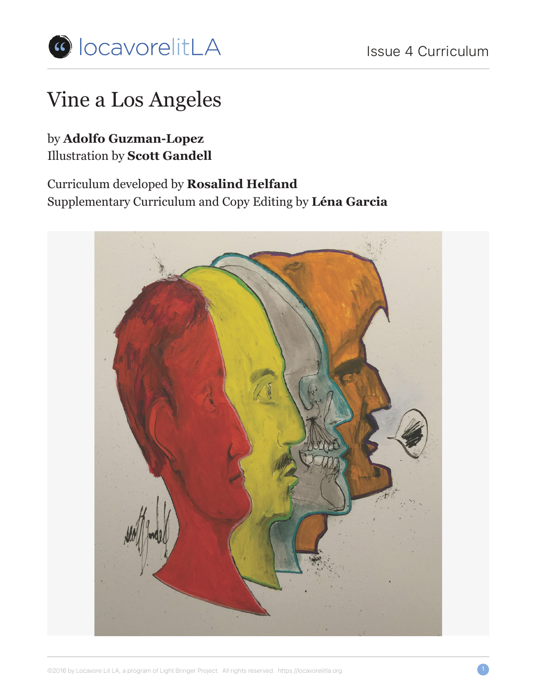

# Vine a Los Angeles

### by **Adolfo Guzman-Lopez** Illustration by **Scott Gandell**

### Curriculum developed by **Rosalind Helfand** Supplementary Curriculum and Copy Editing by **Léna Garcia**

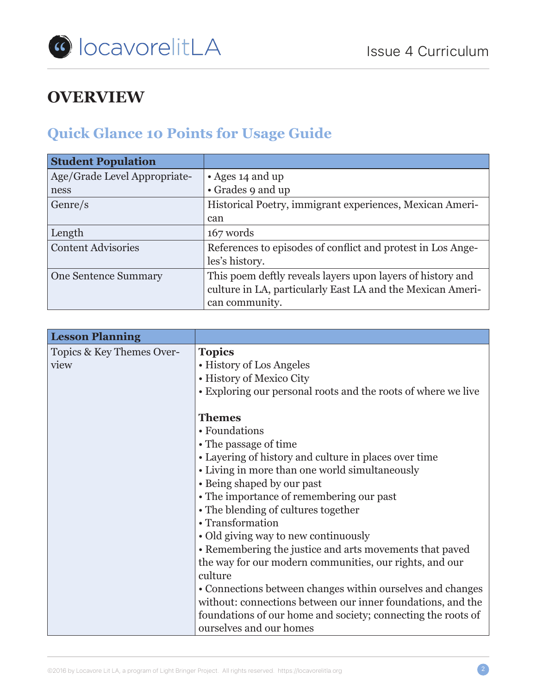

# **OVERVIEW**

# **Quick Glance 10 Points for Usage Guide**

| <b>Student Population</b>    |                                                             |
|------------------------------|-------------------------------------------------------------|
| Age/Grade Level Appropriate- | • Ages 14 and up                                            |
| ness                         | • Grades 9 and up                                           |
| Genre/s                      | Historical Poetry, immigrant experiences, Mexican Ameri-    |
|                              | can                                                         |
| Length                       | 167 words                                                   |
| <b>Content Advisories</b>    | References to episodes of conflict and protest in Los Ange- |
|                              | les's history.                                              |
| <b>One Sentence Summary</b>  | This poem deftly reveals layers upon layers of history and  |
|                              | culture in LA, particularly East LA and the Mexican Ameri-  |
|                              | can community.                                              |

| <b>Lesson Planning</b>    |                                                               |  |
|---------------------------|---------------------------------------------------------------|--|
| Topics & Key Themes Over- | <b>Topics</b><br>• History of Los Angeles                     |  |
| view                      |                                                               |  |
|                           | • History of Mexico City                                      |  |
|                           | • Exploring our personal roots and the roots of where we live |  |
|                           | <b>Themes</b>                                                 |  |
|                           | • Foundations                                                 |  |
|                           | • The passage of time                                         |  |
|                           | • Layering of history and culture in places over time         |  |
|                           | • Living in more than one world simultaneously                |  |
|                           | • Being shaped by our past                                    |  |
|                           | • The importance of remembering our past                      |  |
|                           | • The blending of cultures together                           |  |
|                           | • Transformation                                              |  |
|                           | • Old giving way to new continuously                          |  |
|                           | • Remembering the justice and arts movements that paved       |  |
|                           | the way for our modern communities, our rights, and our       |  |
|                           | culture                                                       |  |
|                           | • Connections between changes within ourselves and changes    |  |
|                           | without: connections between our inner foundations, and the   |  |
|                           | foundations of our home and society; connecting the roots of  |  |
|                           | ourselves and our homes                                       |  |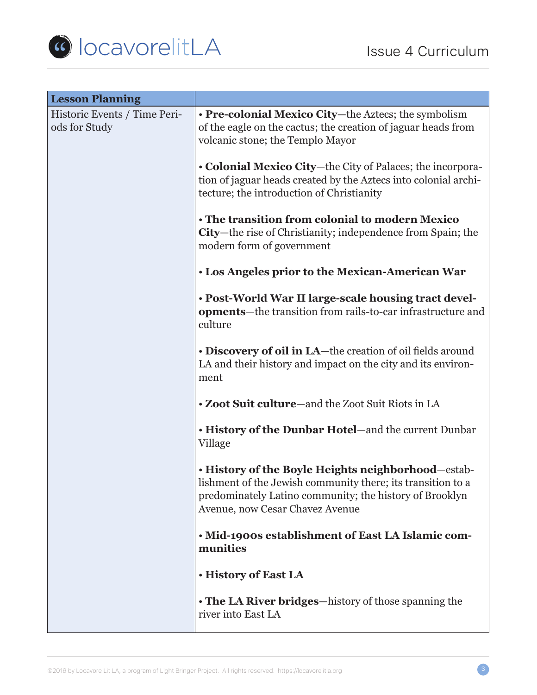

| <b>Lesson Planning</b>                        |                                                                                                                                                                                                                 |  |
|-----------------------------------------------|-----------------------------------------------------------------------------------------------------------------------------------------------------------------------------------------------------------------|--|
| Historic Events / Time Peri-<br>ods for Study | • Pre-colonial Mexico City-the Aztecs; the symbolism<br>of the eagle on the cactus; the creation of jaguar heads from<br>volcanic stone; the Templo Mayor                                                       |  |
|                                               | • Colonial Mexico City-the City of Palaces; the incorpora-<br>tion of jaguar heads created by the Aztecs into colonial archi-<br>tecture; the introduction of Christianity                                      |  |
|                                               | • The transition from colonial to modern Mexico<br>City—the rise of Christianity; independence from Spain; the<br>modern form of government                                                                     |  |
|                                               | · Los Angeles prior to the Mexican-American War                                                                                                                                                                 |  |
|                                               | . Post-World War II large-scale housing tract devel-<br>opments—the transition from rails-to-car infrastructure and<br>culture                                                                                  |  |
|                                               | • Discovery of oil in LA-the creation of oil fields around<br>LA and their history and impact on the city and its environ-<br>ment                                                                              |  |
|                                               | • Zoot Suit culture—and the Zoot Suit Riots in LA                                                                                                                                                               |  |
|                                               | . History of the Dunbar Hotel-and the current Dunbar<br>Village                                                                                                                                                 |  |
|                                               | . History of the Boyle Heights neighborhood-estab-<br>lishment of the Jewish community there; its transition to a<br>predominately Latino community; the history of Brooklyn<br>Avenue, now Cesar Chavez Avenue |  |
|                                               | . Mid-1900s establishment of East LA Islamic com-<br>munities                                                                                                                                                   |  |
|                                               | · History of East LA                                                                                                                                                                                            |  |
|                                               | • The LA River bridges—history of those spanning the<br>river into East LA                                                                                                                                      |  |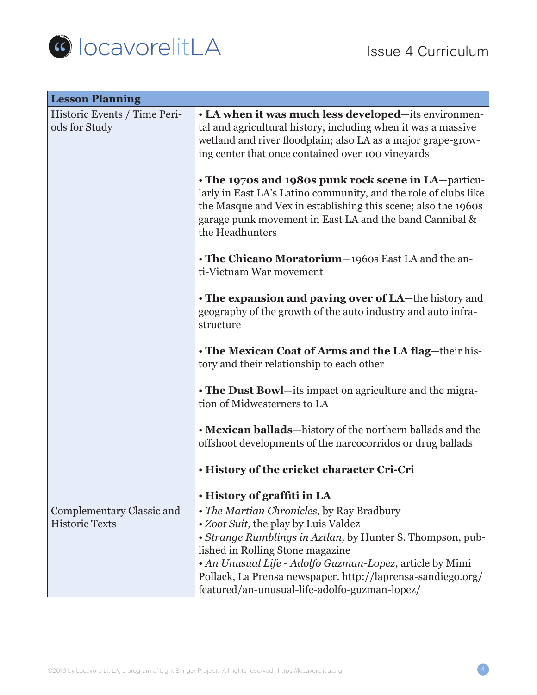

| <b>Lesson Planning</b>                        |                                                                                                                                                                                                                                                                                                                                                                                                                                                                                                   |  |
|-----------------------------------------------|---------------------------------------------------------------------------------------------------------------------------------------------------------------------------------------------------------------------------------------------------------------------------------------------------------------------------------------------------------------------------------------------------------------------------------------------------------------------------------------------------|--|
| Historic Events / Time Peri-<br>ods for Study | • LA when it was much less developed-its environmen-<br>tal and agricultural history, including when it was a massive<br>wetland and river floodplain; also LA as a major grape-grow-<br>ing center that once contained over 100 vineyards<br>• The 1970s and 1980s punk rock scene in LA-particu-<br>larly in East LA's Latino community, and the role of clubs like<br>the Masque and Vex in establishing this scene; also the 1960s<br>garage punk movement in East LA and the band Cannibal & |  |
|                                               | the Headhunters<br>• The Chicano Moratorium-1960s East LA and the an-<br>ti-Vietnam War movement                                                                                                                                                                                                                                                                                                                                                                                                  |  |
|                                               |                                                                                                                                                                                                                                                                                                                                                                                                                                                                                                   |  |
|                                               | • The expansion and paving over of LA—the history and<br>geography of the growth of the auto industry and auto infra-<br>structure                                                                                                                                                                                                                                                                                                                                                                |  |
|                                               | • The Mexican Coat of Arms and the LA flag-their his-<br>tory and their relationship to each other                                                                                                                                                                                                                                                                                                                                                                                                |  |
|                                               | • The Dust Bowl—its impact on agriculture and the migra-<br>tion of Midwesterners to LA                                                                                                                                                                                                                                                                                                                                                                                                           |  |
|                                               | • Mexican ballads-history of the northern ballads and the<br>offshoot developments of the narcocorridos or drug ballads                                                                                                                                                                                                                                                                                                                                                                           |  |
|                                               | . History of the cricket character Cri-Cri                                                                                                                                                                                                                                                                                                                                                                                                                                                        |  |
|                                               | • History of graffiti in LA                                                                                                                                                                                                                                                                                                                                                                                                                                                                       |  |
| Complementary Classic and                     | • The Martian Chronicles, by Ray Bradbury                                                                                                                                                                                                                                                                                                                                                                                                                                                         |  |
| <b>Historic Texts</b>                         | • Zoot Suit, the play by Luis Valdez<br>• Strange Rumblings in Aztlan, by Hunter S. Thompson, pub-                                                                                                                                                                                                                                                                                                                                                                                                |  |
|                                               | lished in Rolling Stone magazine                                                                                                                                                                                                                                                                                                                                                                                                                                                                  |  |
|                                               | • An Unusual Life - Adolfo Guzman-Lopez, article by Mimi                                                                                                                                                                                                                                                                                                                                                                                                                                          |  |
|                                               | Pollack, La Prensa newspaper. http://laprensa-sandiego.org/<br>featured/an-unusual-life-adolfo-guzman-lopez/                                                                                                                                                                                                                                                                                                                                                                                      |  |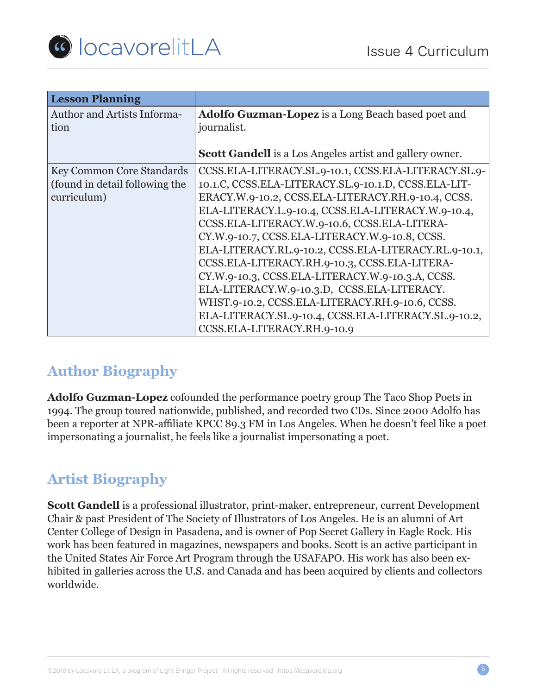

| <b>Lesson Planning</b>                                                     |                                                                                                                                                                                                                                                                                                                                                                                                                                                                                                                                                                                                                                                                                  |
|----------------------------------------------------------------------------|----------------------------------------------------------------------------------------------------------------------------------------------------------------------------------------------------------------------------------------------------------------------------------------------------------------------------------------------------------------------------------------------------------------------------------------------------------------------------------------------------------------------------------------------------------------------------------------------------------------------------------------------------------------------------------|
| <b>Author and Artists Informa-</b><br>tion                                 | Adolfo Guzman-Lopez is a Long Beach based poet and<br>journalist.                                                                                                                                                                                                                                                                                                                                                                                                                                                                                                                                                                                                                |
|                                                                            | <b>Scott Gandell</b> is a Los Angeles artist and gallery owner.                                                                                                                                                                                                                                                                                                                                                                                                                                                                                                                                                                                                                  |
| Key Common Core Standards<br>(found in detail following the<br>curriculum) | CCSS.ELA-LITERACY.SL.9-10.1, CCSS.ELA-LITERACY.SL.9-<br>10.1.C, CCSS.ELA-LITERACY.SL.9-10.1.D, CCSS.ELA-LIT-<br>ERACY.W.9-10.2, CCSS.ELA-LITERACY.RH.9-10.4, CCSS.<br>ELA-LITERACY.L.9-10.4, CCSS.ELA-LITERACY.W.9-10.4,<br>CCSS.ELA-LITERACY.W.9-10.6, CCSS.ELA-LITERA-<br>CY.W.9-10.7, CCSS.ELA-LITERACY.W.9-10.8, CCSS.<br>ELA-LITERACY.RL.9-10.2, CCSS.ELA-LITERACY.RL.9-10.1,<br>CCSS.ELA-LITERACY.RH.9-10.3, CCSS.ELA-LITERA-<br>CY.W.9-10.3, CCSS.ELA-LITERACY.W.9-10.3.A, CCSS.<br>ELA-LITERACY.W.9-10.3.D, CCSS.ELA-LITERACY.<br>WHST.9-10.2, CCSS.ELA-LITERACY.RH.9-10.6, CCSS.<br>ELA-LITERACY.SL.9-10.4, CCSS.ELA-LITERACY.SL.9-10.2,<br>CCSS.ELA-LITERACY.RH.9-10.9 |

### **Author Biography**

**Adolfo Guzman-Lopez** cofounded the performance poetry group The Taco Shop Poets in 1994. The group toured nationwide, published, and recorded two CDs. Since 2000 Adolfo has been a reporter at NPR-affiliate KPCC 89.3 FM in Los Angeles. When he doesn't feel like a poet impersonating a journalist, he feels like a journalist impersonating a poet.

### **Artist Biography**

**Scott Gandell** is a professional illustrator, print-maker, entrepreneur, current Development Chair & past President of The Society of Illustrators of Los Angeles. He is an alumni of Art Center College of Design in Pasadena, and is owner of Pop Secret Gallery in Eagle Rock. His work has been featured in magazines, newspapers and books. Scott is an active participant in the United States Air Force Art Program through the USAFAPO. His work has also been exhibited in galleries across the U.S. and Canada and has been acquired by clients and collectors worldwide.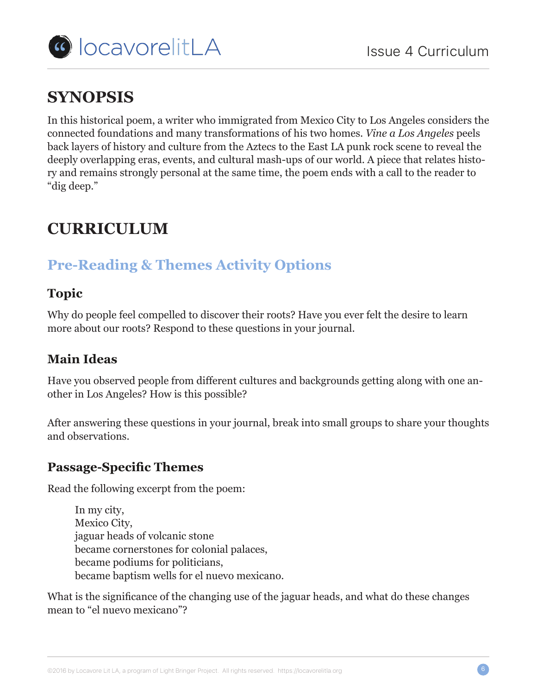

# **SYNOPSIS**

In this historical poem, a writer who immigrated from Mexico City to Los Angeles considers the connected foundations and many transformations of his two homes. *Vine a Los Angeles* peels back layers of history and culture from the Aztecs to the East LA punk rock scene to reveal the deeply overlapping eras, events, and cultural mash-ups of our world. A piece that relates history and remains strongly personal at the same time, the poem ends with a call to the reader to "dig deep."

# **CURRICULUM**

### **Pre-Reading & Themes Activity Options**

### **Topic**

Why do people feel compelled to discover their roots? Have you ever felt the desire to learn more about our roots? Respond to these questions in your journal.

### **Main Ideas**

Have you observed people from different cultures and backgrounds getting along with one another in Los Angeles? How is this possible?

After answering these questions in your journal, break into small groups to share your thoughts and observations.

### **Passage-Specific Themes**

Read the following excerpt from the poem:

In my city, Mexico City, jaguar heads of volcanic stone became cornerstones for colonial palaces, became podiums for politicians, became baptism wells for el nuevo mexicano.

What is the significance of the changing use of the jaguar heads, and what do these changes mean to "el nuevo mexicano"?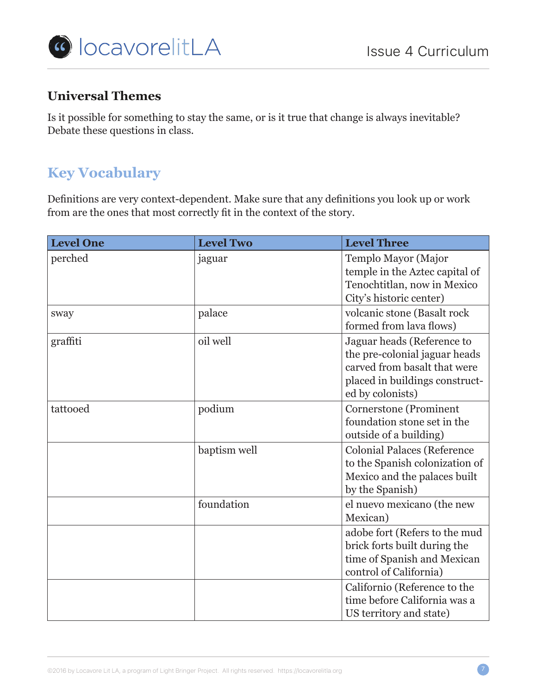

### **Universal Themes**

Is it possible for something to stay the same, or is it true that change is always inevitable? Debate these questions in class.

### **Key Vocabulary**

Definitions are very context-dependent. Make sure that any definitions you look up or work from are the ones that most correctly fit in the context of the story.

| <b>Level One</b> | <b>Level Two</b> | <b>Level Three</b>                                                                                                                                |
|------------------|------------------|---------------------------------------------------------------------------------------------------------------------------------------------------|
| perched          | jaguar           | Templo Mayor (Major<br>temple in the Aztec capital of<br>Tenochtitlan, now in Mexico<br>City's historic center)                                   |
| sway             | palace           | volcanic stone (Basalt rock<br>formed from lava flows)                                                                                            |
| graffiti         | oil well         | Jaguar heads (Reference to<br>the pre-colonial jaguar heads<br>carved from basalt that were<br>placed in buildings construct-<br>ed by colonists) |
| tattooed         | podium           | Cornerstone (Prominent<br>foundation stone set in the<br>outside of a building)                                                                   |
|                  | baptism well     | <b>Colonial Palaces (Reference</b><br>to the Spanish colonization of<br>Mexico and the palaces built<br>by the Spanish)                           |
|                  | foundation       | el nuevo mexicano (the new<br>Mexican)                                                                                                            |
|                  |                  | adobe fort (Refers to the mud<br>brick forts built during the<br>time of Spanish and Mexican<br>control of California)                            |
|                  |                  | Californio (Reference to the<br>time before California was a<br>US territory and state)                                                           |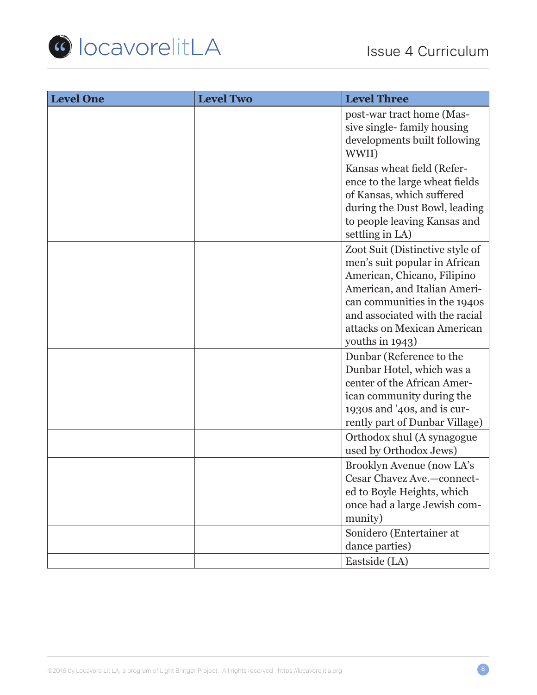

| <b>Level One</b> | <b>Level Two</b> | <b>Level Three</b>                                                                                                                                                                                                                                  |
|------------------|------------------|-----------------------------------------------------------------------------------------------------------------------------------------------------------------------------------------------------------------------------------------------------|
|                  |                  | post-war tract home (Mas-<br>sive single-family housing<br>developments built following<br>WWII)                                                                                                                                                    |
|                  |                  | Kansas wheat field (Refer-<br>ence to the large wheat fields<br>of Kansas, which suffered<br>during the Dust Bowl, leading<br>to people leaving Kansas and<br>settling in LA)                                                                       |
|                  |                  | Zoot Suit (Distinctive style of<br>men's suit popular in African<br>American, Chicano, Filipino<br>American, and Italian Ameri-<br>can communities in the 1940s<br>and associated with the racial<br>attacks on Mexican American<br>youths in 1943) |
|                  |                  | Dunbar (Reference to the<br>Dunbar Hotel, which was a<br>center of the African Amer-<br>ican community during the<br>1930s and '40s, and is cur-<br>rently part of Dunbar Village)                                                                  |
|                  |                  | Orthodox shul (A synagogue<br>used by Orthodox Jews)                                                                                                                                                                                                |
|                  |                  | Brooklyn Avenue (now LA's<br>Cesar Chavez Ave.-connect-<br>ed to Boyle Heights, which<br>once had a large Jewish com-<br>munity)                                                                                                                    |
|                  |                  | Sonidero (Entertainer at<br>dance parties)                                                                                                                                                                                                          |
|                  |                  | Eastside (LA)                                                                                                                                                                                                                                       |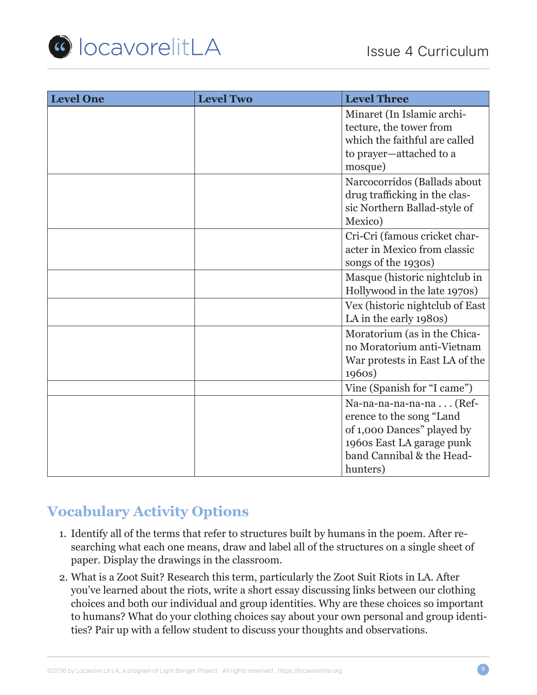

| <b>Level One</b> | <b>Level Two</b> | <b>Level Three</b>                                                                                                                                      |
|------------------|------------------|---------------------------------------------------------------------------------------------------------------------------------------------------------|
|                  |                  | Minaret (In Islamic archi-<br>tecture, the tower from<br>which the faithful are called<br>to prayer-attached to a<br>mosque)                            |
|                  |                  | Narcocorridos (Ballads about<br>drug trafficking in the clas-<br>sic Northern Ballad-style of<br>Mexico)                                                |
|                  |                  | Cri-Cri (famous cricket char-<br>acter in Mexico from classic<br>songs of the 1930s)                                                                    |
|                  |                  | Masque (historic nightclub in<br>Hollywood in the late 1970s)                                                                                           |
|                  |                  | Vex (historic nightclub of East<br>LA in the early 1980s)                                                                                               |
|                  |                  | Moratorium (as in the Chica-<br>no Moratorium anti-Vietnam<br>War protests in East LA of the<br>1960s)                                                  |
|                  |                  | Vine (Spanish for "I came")                                                                                                                             |
|                  |                  | Na-na-na-na-na-na (Ref-<br>erence to the song "Land<br>of 1,000 Dances" played by<br>1960s East LA garage punk<br>band Cannibal & the Head-<br>hunters) |

# **Vocabulary Activity Options**

- 1. Identify all of the terms that refer to structures built by humans in the poem. After researching what each one means, draw and label all of the structures on a single sheet of paper. Display the drawings in the classroom.
- 2. What is a Zoot Suit? Research this term, particularly the Zoot Suit Riots in LA. After you've learned about the riots, write a short essay discussing links between our clothing choices and both our individual and group identities. Why are these choices so important to humans? What do your clothing choices say about your own personal and group identities? Pair up with a fellow student to discuss your thoughts and observations.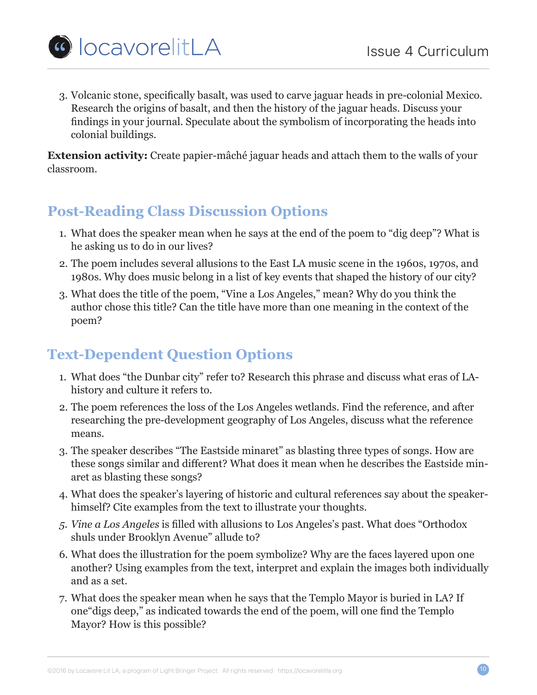

3. Volcanic stone, specifically basalt, was used to carve jaguar heads in pre-colonial Mexico. Research the origins of basalt, and then the history of the jaguar heads. Discuss your findings in your journal. Speculate about the symbolism of incorporating the heads into colonial buildings.

**Extension activity:** Create papier-mâché jaguar heads and attach them to the walls of your classroom.

### **Post-Reading Class Discussion Options**

- 1. What does the speaker mean when he says at the end of the poem to "dig deep"? What is he asking us to do in our lives?
- 2. The poem includes several allusions to the East LA music scene in the 1960s, 1970s, and 1980s. Why does music belong in a list of key events that shaped the history of our city?
- 3. What does the title of the poem, "Vine a Los Angeles," mean? Why do you think the author chose this title? Can the title have more than one meaning in the context of the poem?

# **Text-Dependent Question Options**

- 1. What does "the Dunbar city" refer to? Research this phrase and discuss what eras of LAhistory and culture it refers to.
- 2. The poem references the loss of the Los Angeles wetlands. Find the reference, and after researching the pre-development geography of Los Angeles, discuss what the reference means.
- 3. The speaker describes "The Eastside minaret" as blasting three types of songs. How are these songs similar and different? What does it mean when he describes the Eastside minaret as blasting these songs?
- 4. What does the speaker's layering of historic and cultural references say about the speakerhimself? Cite examples from the text to illustrate your thoughts.
- *5. Vine a Los Angeles* is filled with allusions to Los Angeles's past. What does "Orthodox shuls under Brooklyn Avenue" allude to?
- 6. What does the illustration for the poem symbolize? Why are the faces layered upon one another? Using examples from the text, interpret and explain the images both individually and as a set.
- 7. What does the speaker mean when he says that the Templo Mayor is buried in LA? If one"digs deep," as indicated towards the end of the poem, will one find the Templo Mayor? How is this possible?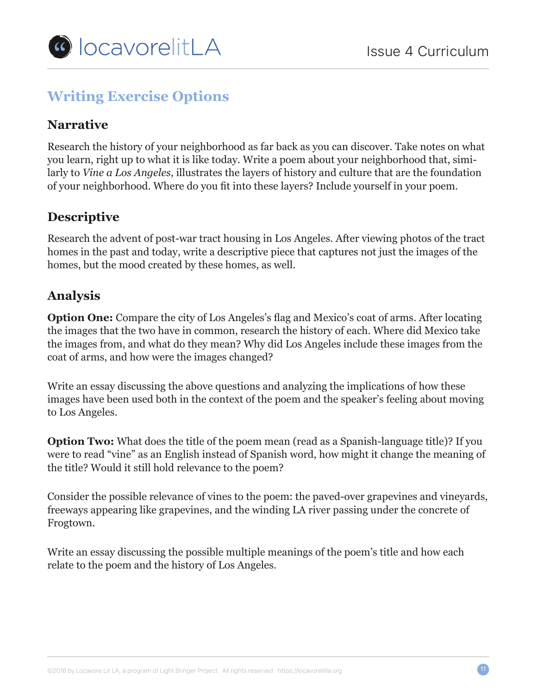

# **Writing Exercise Options**

### **Narrative**

Research the history of your neighborhood as far back as you can discover. Take notes on what you learn, right up to what it is like today. Write a poem about your neighborhood that, similarly to *Vine a Los Angeles*, illustrates the layers of history and culture that are the foundation of your neighborhood. Where do you fit into these layers? Include yourself in your poem.

### **Descriptive**

Research the advent of post-war tract housing in Los Angeles. After viewing photos of the tract homes in the past and today, write a descriptive piece that captures not just the images of the homes, but the mood created by these homes, as well.

### **Analysis**

**Option One:** Compare the city of Los Angeles's flag and Mexico's coat of arms. After locating the images that the two have in common, research the history of each. Where did Mexico take the images from, and what do they mean? Why did Los Angeles include these images from the coat of arms, and how were the images changed?

Write an essay discussing the above questions and analyzing the implications of how these images have been used both in the context of the poem and the speaker's feeling about moving to Los Angeles.

**Option Two:** What does the title of the poem mean (read as a Spanish-language title)? If you were to read "vine" as an English instead of Spanish word, how might it change the meaning of the title? Would it still hold relevance to the poem?

Consider the possible relevance of vines to the poem: the paved-over grapevines and vineyards, freeways appearing like grapevines, and the winding LA river passing under the concrete of Frogtown.

Write an essay discussing the possible multiple meanings of the poem's title and how each relate to the poem and the history of Los Angeles.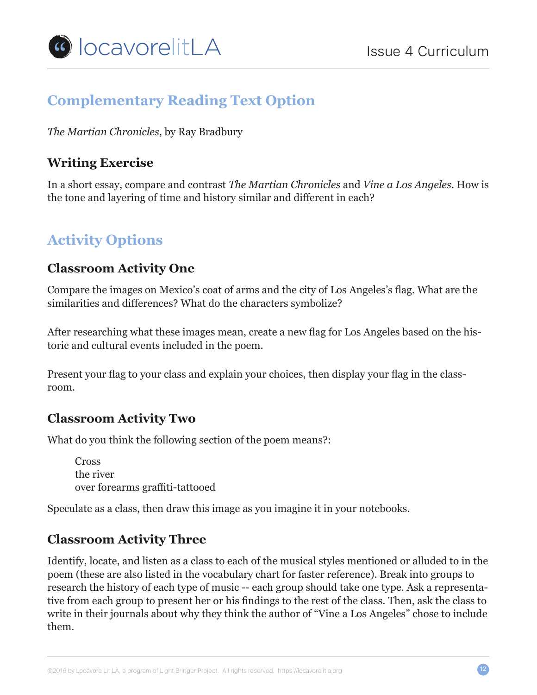

### **Complementary Reading Text Option**

*The Martian Chronicles,* by Ray Bradbury

### **Writing Exercise**

In a short essay, compare and contrast *The Martian Chronicles* and *Vine a Los Angeles.* How is the tone and layering of time and history similar and different in each?

# **Activity Options**

#### **Classroom Activity One**

Compare the images on Mexico's coat of arms and the city of Los Angeles's flag. What are the similarities and differences? What do the characters symbolize?

After researching what these images mean, create a new flag for Los Angeles based on the historic and cultural events included in the poem.

Present your flag to your class and explain your choices, then display your flag in the classroom.

#### **Classroom Activity Two**

What do you think the following section of the poem means?:

Cross the river over forearms graffiti-tattooed

Speculate as a class, then draw this image as you imagine it in your notebooks.

#### **Classroom Activity Three**

Identify, locate, and listen as a class to each of the musical styles mentioned or alluded to in the poem (these are also listed in the vocabulary chart for faster reference). Break into groups to research the history of each type of music -- each group should take one type. Ask a representative from each group to present her or his findings to the rest of the class. Then, ask the class to write in their journals about why they think the author of "Vine a Los Angeles" chose to include them.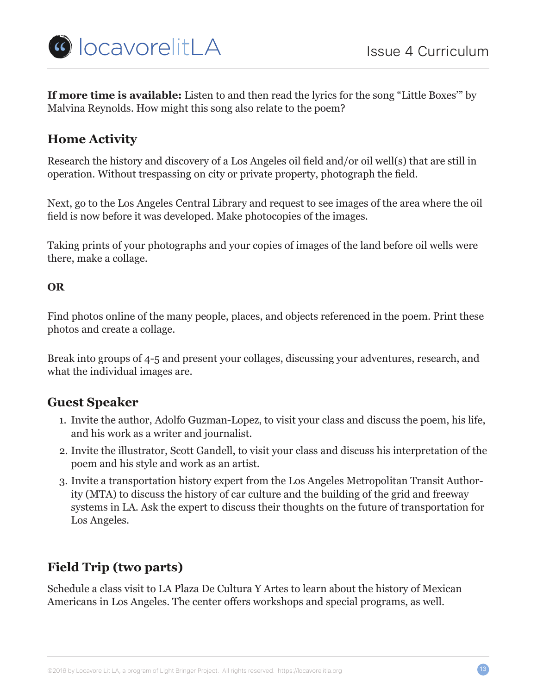

**If more time is available:** Listen to and then read the lyrics for the song "Little Boxes'" by Malvina Reynolds. How might this song also relate to the poem?

### **Home Activity**

Research the history and discovery of a Los Angeles oil field and/or oil well(s) that are still in operation. Without trespassing on city or private property, photograph the field.

Next, go to the Los Angeles Central Library and request to see images of the area where the oil field is now before it was developed. Make photocopies of the images.

Taking prints of your photographs and your copies of images of the land before oil wells were there, make a collage.

#### **OR**

Find photos online of the many people, places, and objects referenced in the poem. Print these photos and create a collage.

Break into groups of 4-5 and present your collages, discussing your adventures, research, and what the individual images are.

#### **Guest Speaker**

- 1. Invite the author, Adolfo Guzman-Lopez, to visit your class and discuss the poem, his life, and his work as a writer and journalist.
- 2. Invite the illustrator, Scott Gandell, to visit your class and discuss his interpretation of the poem and his style and work as an artist.
- 3. Invite a transportation history expert from the Los Angeles Metropolitan Transit Authority (MTA) to discuss the history of car culture and the building of the grid and freeway systems in LA. Ask the expert to discuss their thoughts on the future of transportation for Los Angeles.

### **Field Trip (two parts)**

Schedule a class visit to LA Plaza De Cultura Y Artes to learn about the history of Mexican Americans in Los Angeles. The center offers workshops and special programs, as well.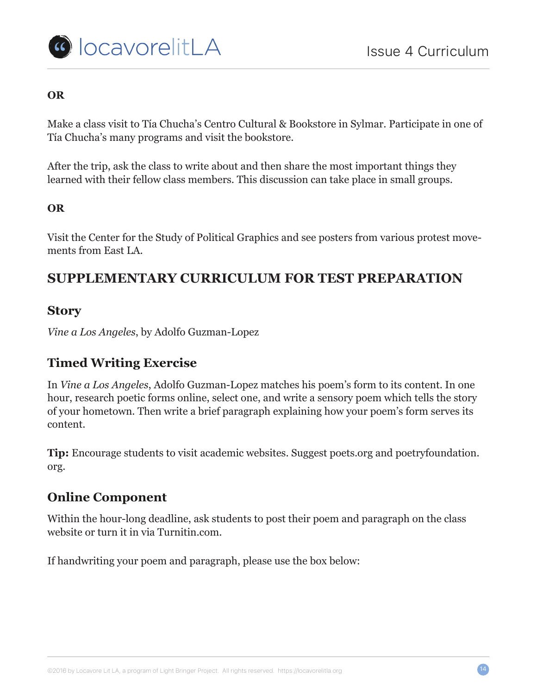



#### **OR**

Make a class visit to Tía Chucha's Centro Cultural & Bookstore in Sylmar. Participate in one of Tía Chucha's many programs and visit the bookstore.

After the trip, ask the class to write about and then share the most important things they learned with their fellow class members. This discussion can take place in small groups.

#### **OR**

Visit the Center for the Study of Political Graphics and see posters from various protest movements from East LA.

### **SUPPLEMENTARY CURRICULUM FOR TEST PREPARATION**

#### **Story**

*Vine a Los Angeles*, by Adolfo Guzman-Lopez

### **Timed Writing Exercise**

In *Vine a Los Angeles*, Adolfo Guzman-Lopez matches his poem's form to its content. In one hour, research poetic forms online, select one, and write a sensory poem which tells the story of your hometown. Then write a brief paragraph explaining how your poem's form serves its content.

**Tip:** Encourage students to visit academic websites. Suggest poets.org and poetryfoundation. org.

#### **Online Component**

Within the hour-long deadline, ask students to post their poem and paragraph on the class website or turn it in via Turnitin.com.

If handwriting your poem and paragraph, please use the box below: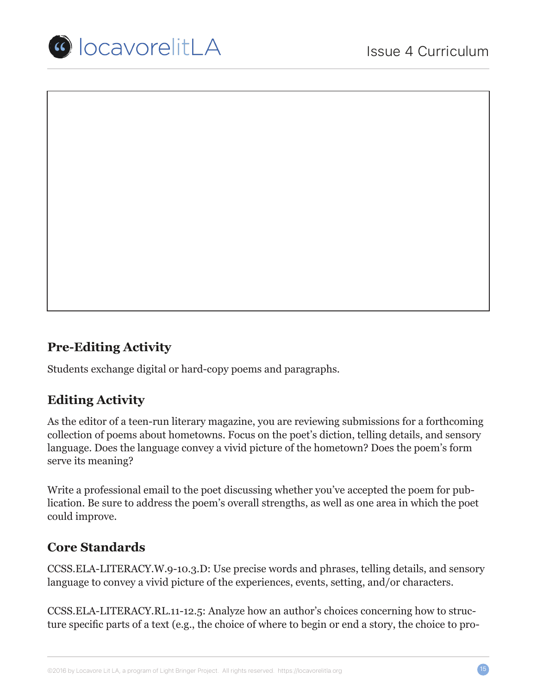

# **Pre-Editing Activity**

Students exchange digital or hard-copy poems and paragraphs.

#### **Editing Activity**

As the editor of a teen-run literary magazine, you are reviewing submissions for a forthcoming collection of poems about hometowns. Focus on the poet's diction, telling details, and sensory language. Does the language convey a vivid picture of the hometown? Does the poem's form serve its meaning?

Write a professional email to the poet discussing whether you've accepted the poem for publication. Be sure to address the poem's overall strengths, as well as one area in which the poet could improve.

#### **Core Standards**

CCSS.ELA-LITERACY.W.9-10.3.D: Use precise words and phrases, telling details, and sensory language to convey a vivid picture of the experiences, events, setting, and/or characters.

CCSS.ELA-LITERACY.RL.11-12.5: Analyze how an author's choices concerning how to structure specific parts of a text (e.g., the choice of where to begin or end a story, the choice to pro-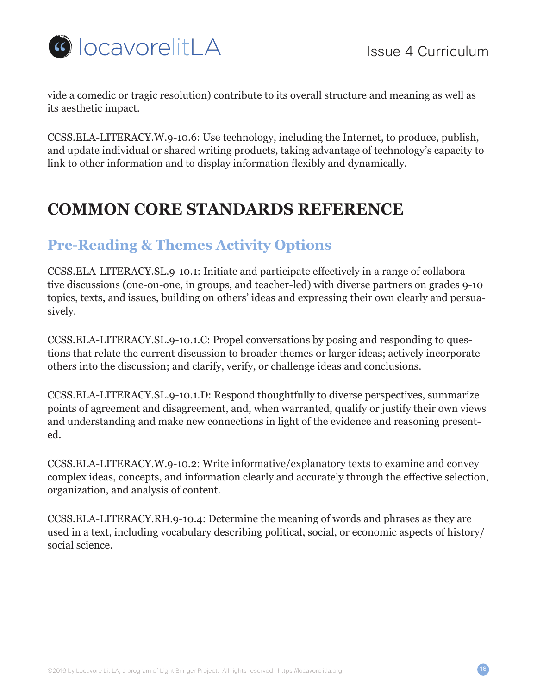

vide a comedic or tragic resolution) contribute to its overall structure and meaning as well as its aesthetic impact.

CCSS.ELA-LITERACY.W.9-10.6: Use technology, including the Internet, to produce, publish, and update individual or shared writing products, taking advantage of technology's capacity to link to other information and to display information flexibly and dynamically.

# **COMMON CORE STANDARDS REFERENCE**

### **Pre-Reading & Themes Activity Options**

CCSS.ELA-LITERACY.SL.9-10.1: Initiate and participate effectively in a range of collaborative discussions (one-on-one, in groups, and teacher-led) with diverse partners on grades 9-10 topics, texts, and issues, building on others' ideas and expressing their own clearly and persuasively.

CCSS.ELA-LITERACY.SL.9-10.1.C: Propel conversations by posing and responding to questions that relate the current discussion to broader themes or larger ideas; actively incorporate others into the discussion; and clarify, verify, or challenge ideas and conclusions.

CCSS.ELA-LITERACY.SL.9-10.1.D: Respond thoughtfully to diverse perspectives, summarize points of agreement and disagreement, and, when warranted, qualify or justify their own views and understanding and make new connections in light of the evidence and reasoning presented.

CCSS.ELA-LITERACY.W.9-10.2: Write informative/explanatory texts to examine and convey complex ideas, concepts, and information clearly and accurately through the effective selection, organization, and analysis of content.

CCSS.ELA-LITERACY.RH.9-10.4: Determine the meaning of words and phrases as they are used in a text, including vocabulary describing political, social, or economic aspects of history/ social science.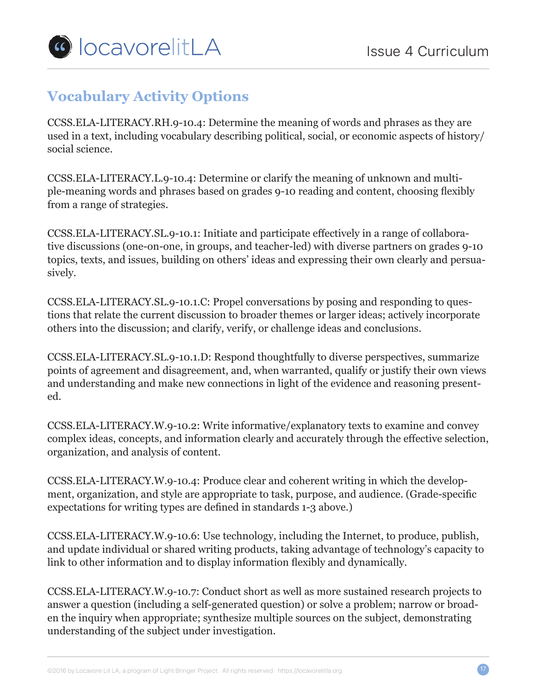

# **Vocabulary Activity Options**

CCSS.ELA-LITERACY.RH.9-10.4: Determine the meaning of words and phrases as they are used in a text, including vocabulary describing political, social, or economic aspects of history/ social science.

CCSS.ELA-LITERACY.L.9-10.4: Determine or clarify the meaning of unknown and multiple-meaning words and phrases based on grades 9-10 reading and content, choosing flexibly from a range of strategies.

CCSS.ELA-LITERACY.SL.9-10.1: Initiate and participate effectively in a range of collaborative discussions (one-on-one, in groups, and teacher-led) with diverse partners on grades 9-10 topics, texts, and issues, building on others' ideas and expressing their own clearly and persuasively.

CCSS.ELA-LITERACY.SL.9-10.1.C: Propel conversations by posing and responding to questions that relate the current discussion to broader themes or larger ideas; actively incorporate others into the discussion; and clarify, verify, or challenge ideas and conclusions.

CCSS.ELA-LITERACY.SL.9-10.1.D: Respond thoughtfully to diverse perspectives, summarize points of agreement and disagreement, and, when warranted, qualify or justify their own views and understanding and make new connections in light of the evidence and reasoning presented.

CCSS.ELA-LITERACY.W.9-10.2: Write informative/explanatory texts to examine and convey complex ideas, concepts, and information clearly and accurately through the effective selection, organization, and analysis of content.

CCSS.ELA-LITERACY.W.9-10.4: Produce clear and coherent writing in which the development, organization, and style are appropriate to task, purpose, and audience. (Grade-specific expectations for writing types are defined in standards 1-3 above.)

CCSS.ELA-LITERACY.W.9-10.6: Use technology, including the Internet, to produce, publish, and update individual or shared writing products, taking advantage of technology's capacity to link to other information and to display information flexibly and dynamically.

CCSS.ELA-LITERACY.W.9-10.7: Conduct short as well as more sustained research projects to answer a question (including a self-generated question) or solve a problem; narrow or broaden the inquiry when appropriate; synthesize multiple sources on the subject, demonstrating understanding of the subject under investigation.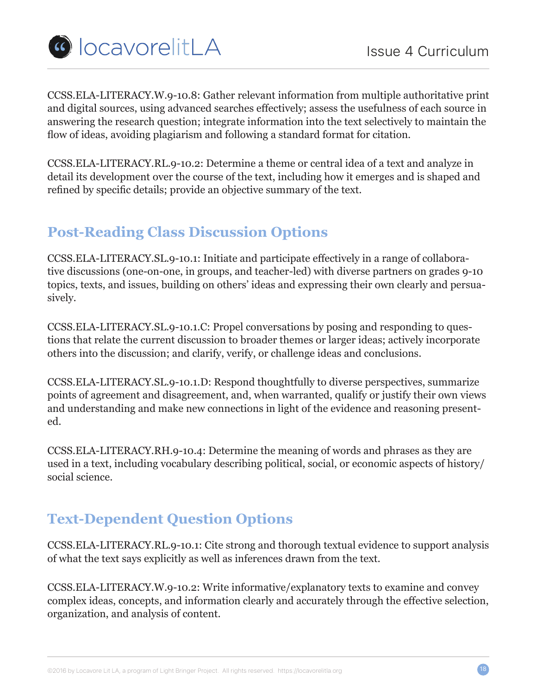

CCSS.ELA-LITERACY.W.9-10.8: Gather relevant information from multiple authoritative print and digital sources, using advanced searches effectively; assess the usefulness of each source in answering the research question; integrate information into the text selectively to maintain the flow of ideas, avoiding plagiarism and following a standard format for citation.

CCSS.ELA-LITERACY.RL.9-10.2: Determine a theme or central idea of a text and analyze in detail its development over the course of the text, including how it emerges and is shaped and refined by specific details; provide an objective summary of the text.

# **Post-Reading Class Discussion Options**

CCSS.ELA-LITERACY.SL.9-10.1: Initiate and participate effectively in a range of collaborative discussions (one-on-one, in groups, and teacher-led) with diverse partners on grades 9-10 topics, texts, and issues, building on others' ideas and expressing their own clearly and persuasively.

CCSS.ELA-LITERACY.SL.9-10.1.C: Propel conversations by posing and responding to questions that relate the current discussion to broader themes or larger ideas; actively incorporate others into the discussion; and clarify, verify, or challenge ideas and conclusions.

CCSS.ELA-LITERACY.SL.9-10.1.D: Respond thoughtfully to diverse perspectives, summarize points of agreement and disagreement, and, when warranted, qualify or justify their own views and understanding and make new connections in light of the evidence and reasoning presented.

CCSS.ELA-LITERACY.RH.9-10.4: Determine the meaning of words and phrases as they are used in a text, including vocabulary describing political, social, or economic aspects of history/ social science.

# **Text-Dependent Question Options**

CCSS.ELA-LITERACY.RL.9-10.1: Cite strong and thorough textual evidence to support analysis of what the text says explicitly as well as inferences drawn from the text.

CCSS.ELA-LITERACY.W.9-10.2: Write informative/explanatory texts to examine and convey complex ideas, concepts, and information clearly and accurately through the effective selection, organization, and analysis of content.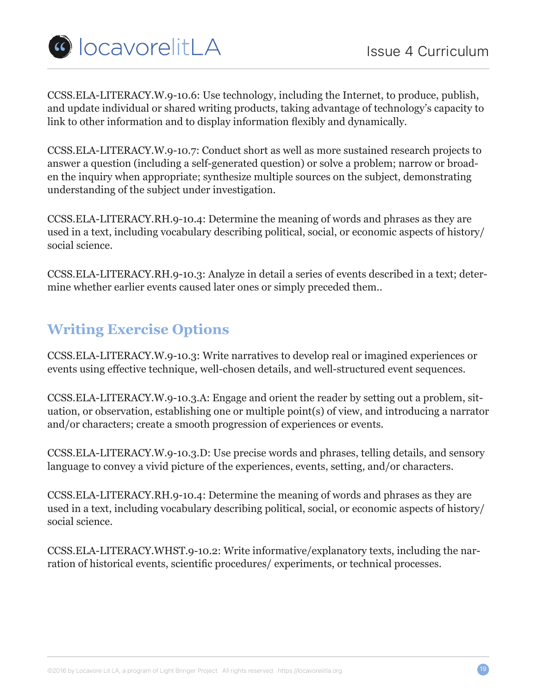

CCSS.ELA-LITERACY.W.9-10.6: Use technology, including the Internet, to produce, publish, and update individual or shared writing products, taking advantage of technology's capacity to link to other information and to display information flexibly and dynamically.

CCSS.ELA-LITERACY.W.9-10.7: Conduct short as well as more sustained research projects to answer a question (including a self-generated question) or solve a problem; narrow or broaden the inquiry when appropriate; synthesize multiple sources on the subject, demonstrating understanding of the subject under investigation.

CCSS.ELA-LITERACY.RH.9-10.4: Determine the meaning of words and phrases as they are used in a text, including vocabulary describing political, social, or economic aspects of history/ social science.

CCSS.ELA-LITERACY.RH.9-10.3: Analyze in detail a series of events described in a text; determine whether earlier events caused later ones or simply preceded them..

### **Writing Exercise Options**

CCSS.ELA-LITERACY.W.9-10.3: Write narratives to develop real or imagined experiences or events using effective technique, well-chosen details, and well-structured event sequences.

CCSS.ELA-LITERACY.W.9-10.3.A: Engage and orient the reader by setting out a problem, situation, or observation, establishing one or multiple point(s) of view, and introducing a narrator and/or characters; create a smooth progression of experiences or events.

CCSS.ELA-LITERACY.W.9-10.3.D: Use precise words and phrases, telling details, and sensory language to convey a vivid picture of the experiences, events, setting, and/or characters.

CCSS.ELA-LITERACY.RH.9-10.4: Determine the meaning of words and phrases as they are used in a text, including vocabulary describing political, social, or economic aspects of history/ social science.

CCSS.ELA-LITERACY.WHST.9-10.2: Write informative/explanatory texts, including the narration of historical events, scientific procedures/ experiments, or technical processes.